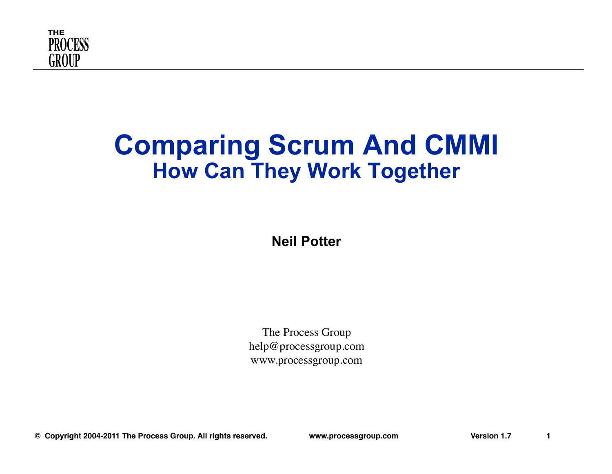

#### **Comparing Scrum And CMMI How Can They Work Together**

**Neil Potter** 

The Process Group help@processgroup.com www.processgroup.com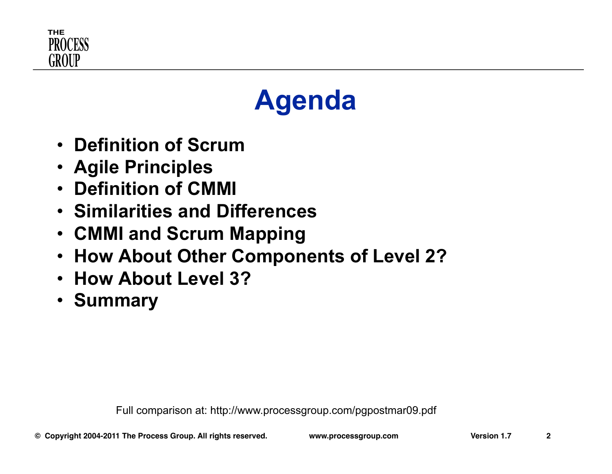

## **Agenda**

- **Definition of Scrum**
- **Agile Principles**
- **Definition of CMMI**
- **Similarities and Differences**
- **CMMI and Scrum Mapping**
- **How About Other Components of Level 2?**
- **How About Level 3?**
- **Summary**

Full comparison at: http://www.processgroup.com/pgpostmar09.pdf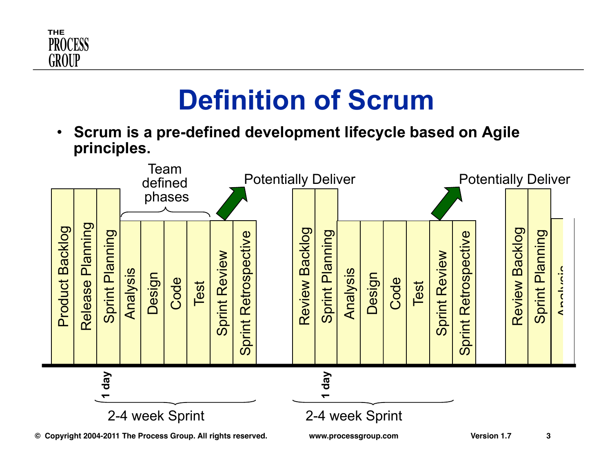

## **Definition of Scrum**

• **Scrum is a pre-defined development lifecycle based on Agile principles.** 

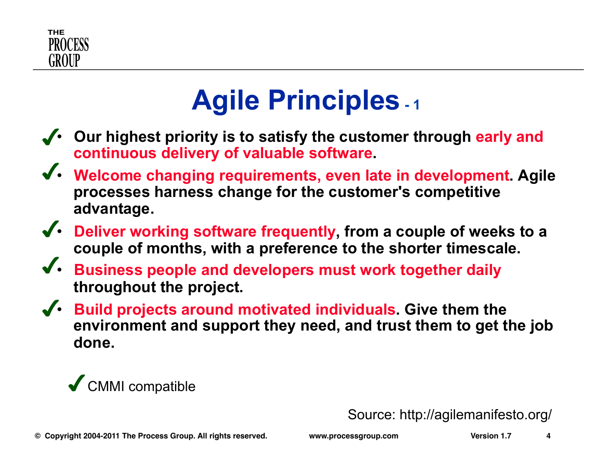

## **Agile Principles - 1**

- **Our highest priority is to satisfy the customer through early and continuous delivery of valuable software.**
- **Welcome changing requirements, even late in development. Agile processes harness change for the customer's competitive advantage.**
- **Deliver working software frequently, from a couple of weeks to a couple of months, with a preference to the shorter timescale.**
- **Business people and developers must work together daily throughout the project.**
- **Build projects around motivated individuals. Give them the environment and support they need, and trust them to get the job done.**



Source: http://agilemanifesto.org/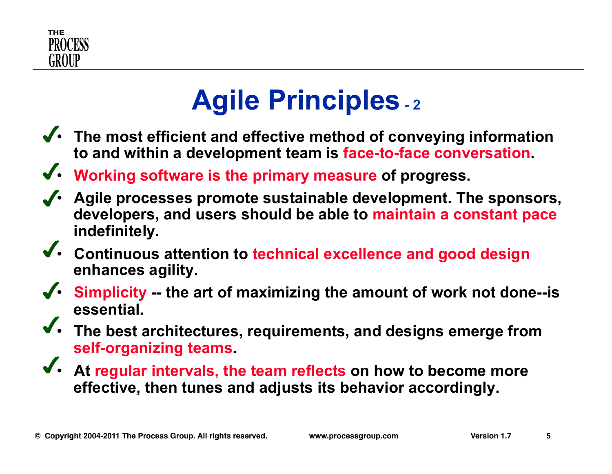

## **Agile Principles - 2**

- **The most efficient and effective method of conveying information to and within a development team is face-to-face conversation.**
- **Working software is the primary measure of progress.**
- **Agile processes promote sustainable development. The sponsors, developers, and users should be able to maintain a constant pace indefinitely.**
- **Continuous attention to technical excellence and good design enhances agility.**
- **Simplicity -- the art of maximizing the amount of work not done--is essential.**
- **The best architectures, requirements, and designs emerge from self-organizing teams.**
- **At regular intervals, the team reflects on how to become more effective, then tunes and adjusts its behavior accordingly.**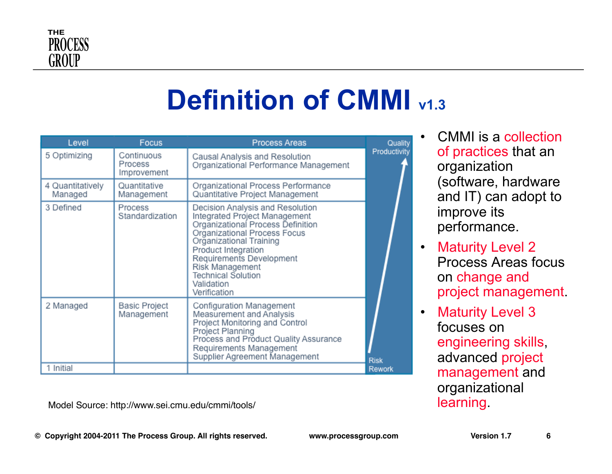

## **Definition of CMMI**  $v1.3$

| Level                       | Focus                                | <b>Process Areas</b>                                                                                                                                                                                                                                                                               | Quality      |
|-----------------------------|--------------------------------------|----------------------------------------------------------------------------------------------------------------------------------------------------------------------------------------------------------------------------------------------------------------------------------------------------|--------------|
| 5 Optimizing                | Continuous<br>Process<br>Improvement | Causal Analysis and Resolution<br>Organizational Performance Management                                                                                                                                                                                                                            | Productivity |
| 4 Quantitatively<br>Managed | Quantitative<br>Management           | Organizational Process Performance<br>Quantitative Project Management                                                                                                                                                                                                                              |              |
| 3 Defined                   | Process<br>Standardization           | Decision Analysis and Resolution<br>Integrated Project Management<br>Organizational Process Definition<br>Organizational Process Focus<br>Organizational Training<br>Product Integration<br>Requirements Development<br>Risk Management<br><b>Technical Solution</b><br>Validation<br>Verification |              |
| 2 Managed                   | <b>Basic Project</b><br>Management   | Configuration Management<br>Measurement and Analysis<br>Project Monitoring and Control<br>Project Planning<br>Process and Product Quality Assurance<br>Requirements Management<br>Supplier Agreement Management                                                                                    | <b>Risk</b>  |
| 1 Initial                   |                                      |                                                                                                                                                                                                                                                                                                    | Rework       |

Model Source: http://www.sei.cmu.edu/cmmi/tools/ learning.

• CMMI is a collection of practices that an organization (software, hardware and IT) can adopt to improve its performance.

- Maturity Level 2 Process Areas focus on change and project management.
- Maturity Level 3 focuses on engineering skills, advanced project management and organizational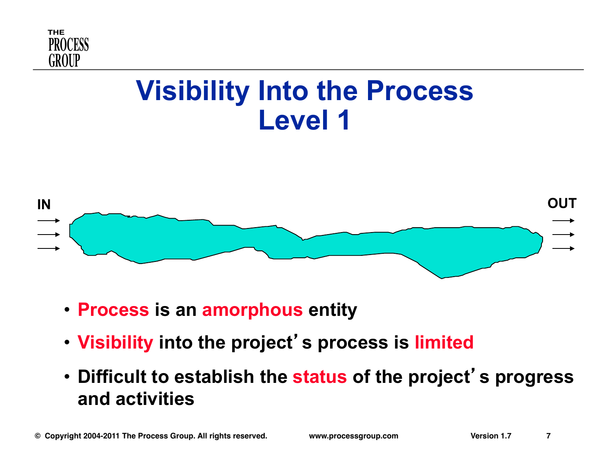

## **Visibility Into the Process Level 1**



- **Process is an amorphous entity**
- **Visibility into the project**'**s process is limited**
- **Difficult to establish the status of the project**' **s progress and activities**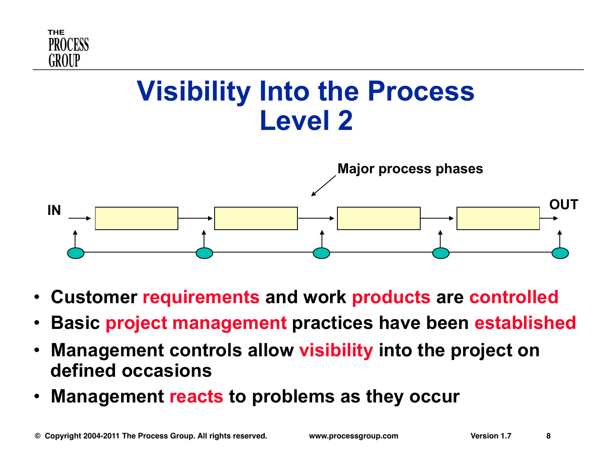

## **Visibility Into the Process Level 2**



- **Customer requirements and work products are controlled**
- **Basic project management practices have been established**
- **Management controls allow visibility into the project on defined occasions**
- **Management reacts to problems as they occur**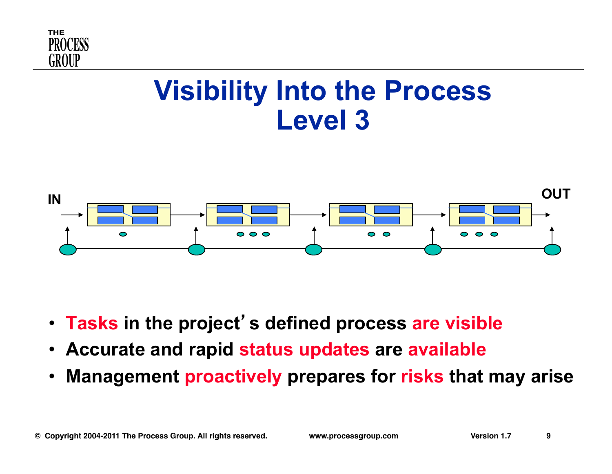

## **Visibility Into the Process Level 3**



- **Tasks in the project**'**s defined process are visible**
- **Accurate and rapid status updates are available**
- **Management proactively prepares for risks that may arise**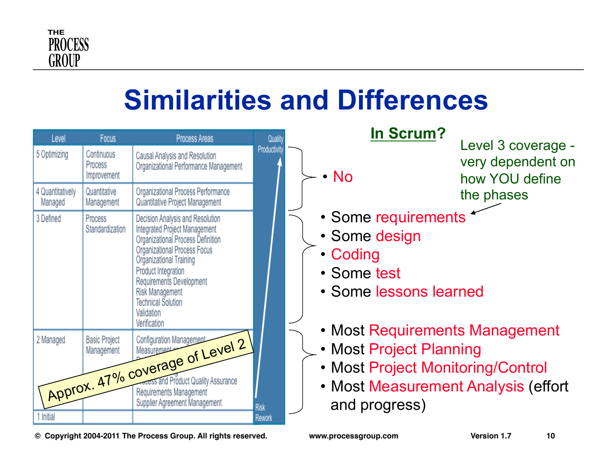

## **Similarities and Differences**

| Level                       | <b>Focus</b>                         | <b>Process Areas</b>                                                                                                                                                                                                                                                                                      | Quality      |
|-----------------------------|--------------------------------------|-----------------------------------------------------------------------------------------------------------------------------------------------------------------------------------------------------------------------------------------------------------------------------------------------------------|--------------|
| 5 Optimizing                | Continuous<br>Process<br>Improvement | Causal Analysis and Resolution<br>Organizational Performance Management                                                                                                                                                                                                                                   | Productivity |
| 4 Quantitatively<br>Managed | Quantitative<br>Management           | Organizational Process Performance<br>Quantitative Project Management                                                                                                                                                                                                                                     |              |
| 3 Defined                   | Process<br>Standardization           | Decision Analysis and Resolution<br>Integrated Project Management<br>Organizational Process Definition<br>Organizational Process Focus<br>Organizational Training<br>Product Integration<br>Requirements Development<br><b>Risk Management</b><br><b>Technical Solution</b><br>Validation<br>Verification |              |
| 1 Initial                   |                                      | Approx. 47% coverage of Level 2<br>Supplier Agreement Management                                                                                                                                                                                                                                          | <b>Risk</b>  |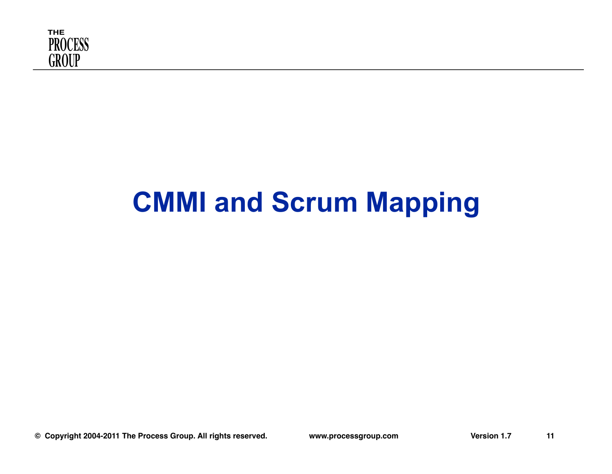

# **CMMI and Scrum Mapping**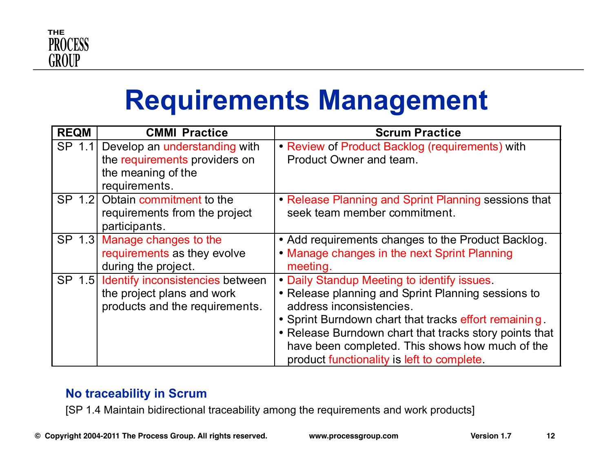

## **Requirements Management**

| <b>REQM</b> | <b>CMMI Practice</b>                                                                                         | <b>Scrum Practice</b>                                                                                                                                                                                                                                                                                                                             |
|-------------|--------------------------------------------------------------------------------------------------------------|---------------------------------------------------------------------------------------------------------------------------------------------------------------------------------------------------------------------------------------------------------------------------------------------------------------------------------------------------|
| SP 1.1      | Develop an <i>understanding</i> with<br>the requirements providers on<br>the meaning of the<br>requirements. | • Review of Product Backlog (requirements) with<br>Product Owner and team.                                                                                                                                                                                                                                                                        |
|             | SP 1.2 Obtain commitment to the<br>requirements from the project<br>participants.                            | • Release Planning and Sprint Planning sessions that<br>seek team member commitment.                                                                                                                                                                                                                                                              |
|             | SP 1.3 Manage changes to the<br>requirements as they evolve<br>during the project.                           | • Add requirements changes to the Product Backlog.<br>• Manage changes in the next Sprint Planning<br>meeting.                                                                                                                                                                                                                                    |
|             | SP 1.5 Identify inconsistencies between<br>the project plans and work<br>products and the requirements.      | • Daily Standup Meeting to identify issues.<br>• Release planning and Sprint Planning sessions to<br>address inconsistencies.<br>• Sprint Burndown chart that tracks effort remaining.<br>• Release Burndown chart that tracks story points that<br>have been completed. This shows how much of the<br>product functionality is left to complete. |

#### **No traceability in Scrum**

[SP 1.4 Maintain bidirectional traceability among the requirements and work products]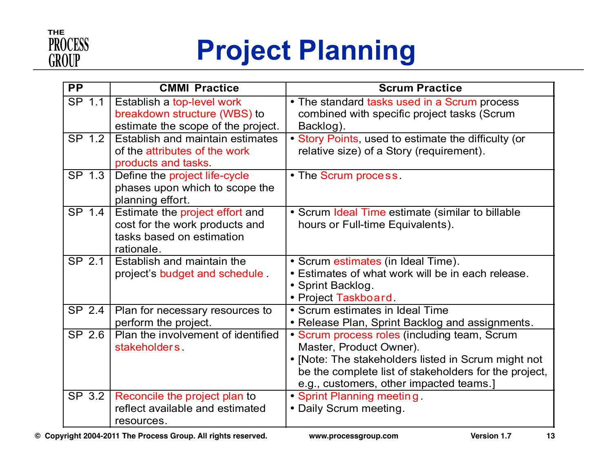

## **Project Planning**

| <b>PP</b>                  | <b>CMMI Practice</b>                                                                                         | <b>Scrum Practice</b>                                                                                                                                                                                                              |
|----------------------------|--------------------------------------------------------------------------------------------------------------|------------------------------------------------------------------------------------------------------------------------------------------------------------------------------------------------------------------------------------|
| SP 1.1                     | Establish a top-level work<br>breakdown structure (WBS) to<br>estimate the scope of the project.             | • The standard tasks used in a Scrum process<br>combined with specific project tasks (Scrum<br>Backlog).                                                                                                                           |
| SP 1.2                     | Establish and maintain estimates<br>of the attributes of the work<br>products and tasks.                     | • Story Points, used to estimate the difficulty (or<br>relative size) of a Story (requirement).                                                                                                                                    |
| SP 1.3                     | Define the project life-cycle<br>phases upon which to scope the<br>planning effort.                          | • The Scrum process.                                                                                                                                                                                                               |
| $\overline{\text{SP}}$ 1.4 | Estimate the project effort and<br>cost for the work products and<br>tasks based on estimation<br>rationale. | • Scrum Ideal Time estimate (similar to billable<br>hours or Full-time Equivalents).                                                                                                                                               |
| SP 2.1                     | Establish and maintain the<br>project's budget and schedule.                                                 | • Scrum estimates (in Ideal Time).<br>• Estimates of what work will be in each release.<br>• Sprint Backlog.<br>• Project Taskboard.                                                                                               |
| SP 2.4                     | Plan for necessary resources to<br>perform the project.                                                      | • Scrum estimates in Ideal Time<br>• Release Plan, Sprint Backlog and assignments.                                                                                                                                                 |
| SP 2.6                     | Plan the involvement of identified<br>stakeholders                                                           | • Scrum process roles (including team, Scrum<br>Master, Product Owner).<br>• [Note: The stakeholders listed in Scrum might not<br>be the complete list of stakeholders for the project,<br>e.g., customers, other impacted teams.] |
| SP 3.2                     | Reconcile the project plan to<br>reflect available and estimated<br>resources.                               | • Sprint Planning meeting<br>• Daily Scrum meeting.                                                                                                                                                                                |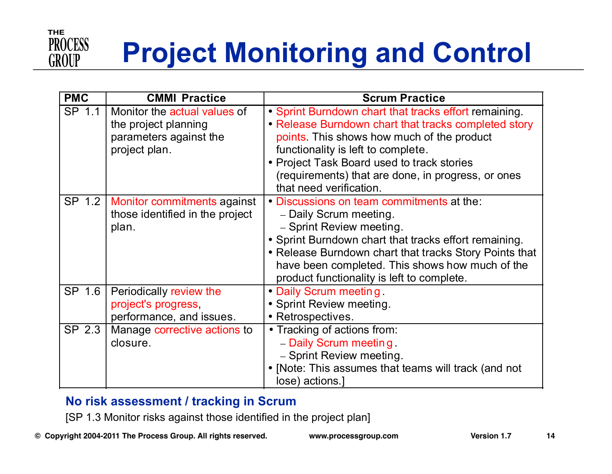

# **Project Monitoring and Control**

| <b>PMC</b> | <b>CMMI Practice</b>                                                                            | <b>Scrum Practice</b>                                                                                                                                                                                                                                                                                                            |
|------------|-------------------------------------------------------------------------------------------------|----------------------------------------------------------------------------------------------------------------------------------------------------------------------------------------------------------------------------------------------------------------------------------------------------------------------------------|
| SP 1.1     | Monitor the actual values of<br>the project planning<br>parameters against the<br>project plan. | • Sprint Burndown chart that tracks effort remaining.<br>• Release Burndown chart that tracks completed story<br>points. This shows how much of the product<br>functionality is left to complete.<br>• Project Task Board used to track stories<br>(requirements) that are done, in progress, or ones<br>that need verification. |
| SP 1.2     | Monitor commitments against<br>those identified in the project<br>plan.                         | • Discussions on team commitments at the:<br>- Daily Scrum meeting.<br>- Sprint Review meeting.<br>• Sprint Burndown chart that tracks effort remaining.<br>• Release Burndown chart that tracks Story Points that<br>have been completed. This shows how much of the<br>product functionality is left to complete.              |
| SP 1.6     | Periodically review the<br>project's progress,<br>performance, and issues.                      | • Daily Scrum meeting.<br>• Sprint Review meeting.<br>• Retrospectives.                                                                                                                                                                                                                                                          |
| SP 2.3     | Manage corrective actions to<br>closure.                                                        | • Tracking of actions from:<br>- Daily Scrum meeting.<br>- Sprint Review meeting.<br>• [Note: This assumes that teams will track (and not<br>lose) actions.                                                                                                                                                                      |

#### **No risk assessment / tracking in Scrum**

[SP 1.3 Monitor risks against those identified in the project plan]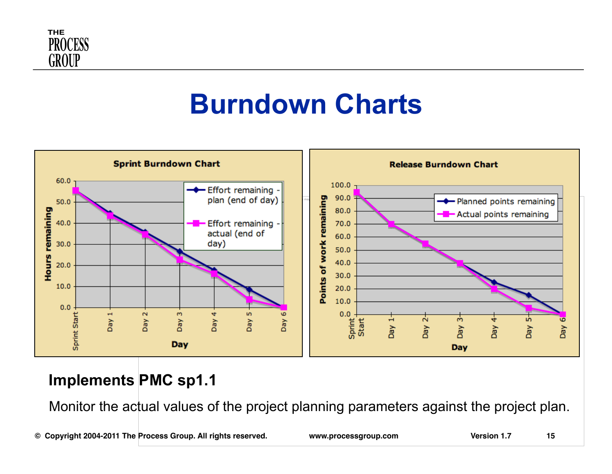

## **Burndown Charts**



#### **Implements PMC sp1.1**

Monitor the actual values of the project planning parameters against the project plan.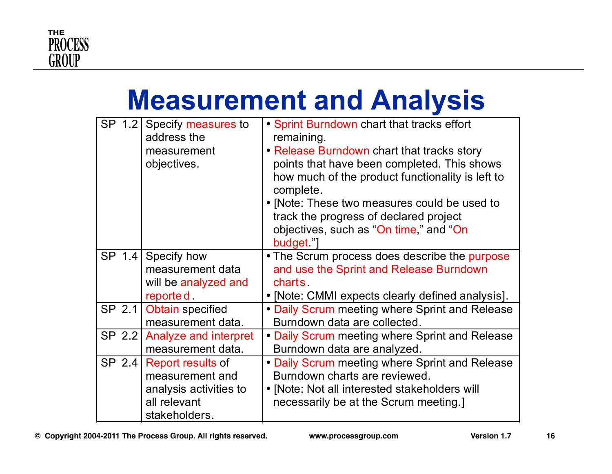

## **Measurement and Analysis**

| SP 1.2 | Specify measures to<br>address the<br>measurement<br>objectives.                                | • Sprint Burndown chart that tracks effort<br>remaining.<br>• Release Burndown chart that tracks story<br>points that have been completed. This shows<br>how much of the product functionality is left to<br>complete.<br>• [Note: These two measures could be used to<br>track the progress of declared project<br>objectives, such as "On time," and "On<br>budget" |
|--------|-------------------------------------------------------------------------------------------------|-----------------------------------------------------------------------------------------------------------------------------------------------------------------------------------------------------------------------------------------------------------------------------------------------------------------------------------------------------------------------|
| SP 1.4 | Specify how<br>measurement data<br>will be analyzed and<br>reporte d.                           | • The Scrum process does describe the purpose<br>and use the Sprint and Release Burndown<br>charts.<br>• [Note: CMMI expects clearly defined analysis].                                                                                                                                                                                                               |
| SP 2.1 | Obtain specified<br>measurement data.                                                           | • Daily Scrum meeting where Sprint and Release<br>Burndown data are collected.                                                                                                                                                                                                                                                                                        |
| SP 2.2 | Analyze and interpret<br>measurement data.                                                      | • Daily Scrum meeting where Sprint and Release<br>Burndown data are analyzed.                                                                                                                                                                                                                                                                                         |
| SP 2.4 | Report results of<br>measurement and<br>analysis activities to<br>all relevant<br>stakeholders. | . Daily Scrum meeting where Sprint and Release<br>Burndown charts are reviewed.<br>• [Note: Not all interested stakeholders will<br>necessarily be at the Scrum meeting.]                                                                                                                                                                                             |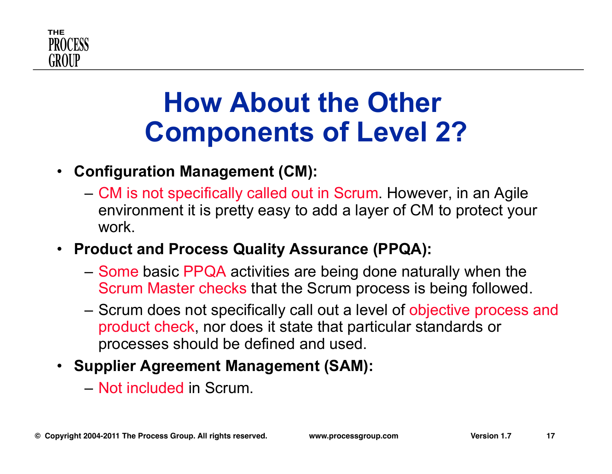

## **How About the Other Components of Level 2?**

#### • **Configuration Management (CM):**

- CM is not specifically called out in Scrum. However, in an Agile environment it is pretty easy to add a layer of CM to protect your work.
- **Product and Process Quality Assurance (PPQA):** 
	- Some basic PPQA activities are being done naturally when the Scrum Master checks that the Scrum process is being followed.
	- Scrum does not specifically call out a level of objective process and product check, nor does it state that particular standards or processes should be defined and used.
- **Supplier Agreement Management (SAM):** 
	- Not included in Scrum.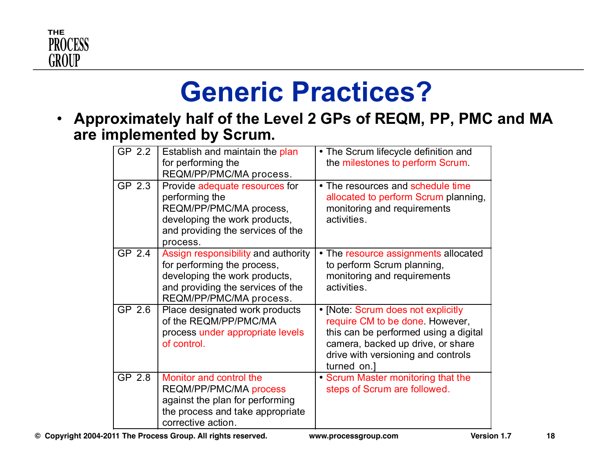

## **Generic Practices?**

• **Approximately half of the Level 2 GPs of REQM, PP, PMC and MA are implemented by Scrum.** 

| GP 2.2 | Establish and maintain the plan<br>for performing the<br>REQM/PP/PMC/MA process.                                                                                    | • The Scrum lifecycle definition and<br>the milestones to perform Scrum.                                                                                                                                 |
|--------|---------------------------------------------------------------------------------------------------------------------------------------------------------------------|----------------------------------------------------------------------------------------------------------------------------------------------------------------------------------------------------------|
| GP 2.3 | Provide adequate resources for<br>performing the<br>REQM/PP/PMC/MA process,<br>developing the work products,<br>and providing the services of the<br>process.       | • The resources and schedule time<br>allocated to perform Scrum planning,<br>monitoring and requirements<br>activities.                                                                                  |
| GP 2.4 | Assign responsibility and authority<br>for performing the process,<br>developing the work products,<br>and providing the services of the<br>REQM/PP/PMC/MA process. | • The resource assignments allocated<br>to perform Scrum planning,<br>monitoring and requirements<br>activities.                                                                                         |
| GP 2.6 | Place designated work products<br>of the REQM/PP/PMC/MA<br>process under appropriate levels<br>of control.                                                          | • [Note: Scrum does not explicitly<br>require CM to be done. However,<br>this can be performed using a digital<br>camera, backed up drive, or share<br>drive with versioning and controls<br>turned on.] |
| GP 2.8 | Monitor and control the<br><b>REQM/PP/PMC/MA process</b><br>against the plan for performing<br>the process and take appropriate<br>corrective action.               | • Scrum Master monitoring that the<br>steps of Scrum are followed.                                                                                                                                       |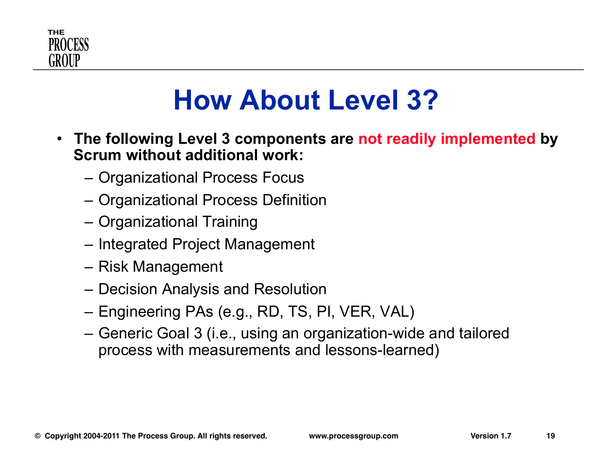

## **How About Level 3?**

- **The following Level 3 components are not readily implemented by Scrum without additional work:** 
	- Organizational Process Focus
	- Organizational Process Definition
	- Organizational Training
	- Integrated Project Management
	- Risk Management
	- Decision Analysis and Resolution
	- Engineering PAs (e.g., RD, TS, PI, VER, VAL)
	- Generic Goal 3 (i.e., using an organization-wide and tailored process with measurements and lessons-learned)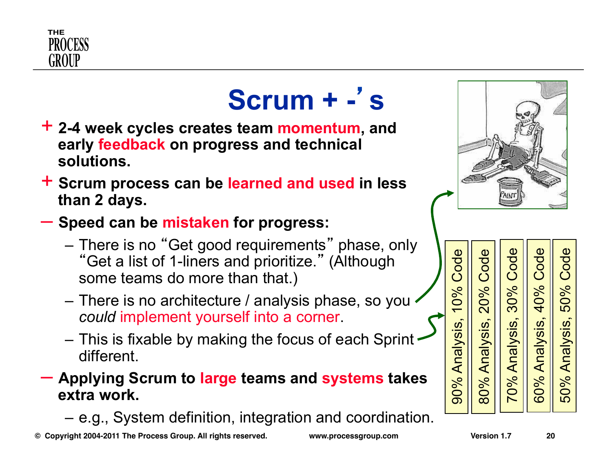

## **Scrum + -**' **s**

- + **2-4 week cycles creates team momentum, and early feedback on progress and technical solutions.**
- + **Scrum process can be learned and used in less than 2 days.**
- **Speed can be mistaken for progress:** 
	- There is no "Get good requirements" phase, only "Get a list of 1-liners and prioritize." (Although some teams do more than that.)
	- There is no architecture / analysis phase, so you *could* implement yourself into a corner.
	- This is fixable by making the focus of each Sprint different.
- **Applying Scrum to large teams and systems takes extra work.** 
	- e.g., System definition, integration and coordination.



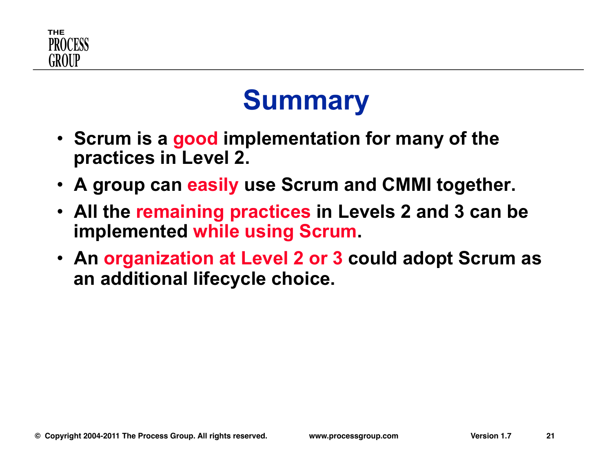

## **Summary**

- **Scrum is a good implementation for many of the practices in Level 2.**
- **A group can easily use Scrum and CMMI together.**
- **All the remaining practices in Levels 2 and 3 can be implemented while using Scrum.**
- **An organization at Level 2 or 3 could adopt Scrum as an additional lifecycle choice.**